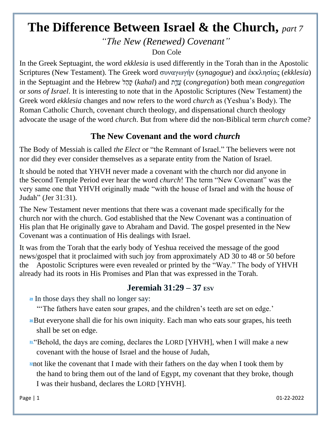## **The Difference Between Israel & the Church,** *part 7*

*"The New (Renewed) Covenant"*

Don Cole

In the Greek Septuagint, the word *ekklesia* is used differently in the Torah than in the Apostolic Scriptures (New Testament). The Greek word συναγωγήν (*synagogue*) and ἐκκλησίας (*ekklesia*) in the Septuagint and the Hebrew ל ַה ָק) *kahal*) and ת ַ֛ ַדֲע) *congregation*) both mean *congregation* or *sons of Israel*. It is interesting to note that in the Apostolic Scriptures (New Testament) the Greek word *ekklesia* changes and now refers to the word *church* as (Yeshua's Body). The Roman Catholic Church, covenant church theology, and dispensational church theology advocate the usage of the word *church*. But from where did the non-Biblical term *church* come?

## **The New Covenant and the word** *church*

The Body of Messiah is called *the Elect* or "the Remnant of Israel." The believers were not nor did they ever consider themselves as a separate entity from the Nation of Israel.

It should be noted that YHVH never made a covenant with the church nor did anyone in the Second Temple Period ever hear the word *church*! The term "New Covenant" was the very same one that YHVH originally made "with the house of Israel and with the house of Judah" (Jer 31:31).

The New Testament never mentions that there was a covenant made specifically for the church nor with the church. God established that the New Covenant was a continuation of His plan that He originally gave to Abraham and David. The gospel presented in the New Covenant was a continuation of His dealings with Israel.

It was from the Torah that the early body of Yeshua received the message of the good news/gospel that it proclaimed with such joy from approximately AD 30 to 48 or 50 before the Apostolic Scriptures were even revealed or printed by the "Way." The body of YHVH already had its roots in His Promises and Plan that was expressed in the Torah.

## **Jeremiah 31:29 – 37 ESV**

**[29](http://biblehub.com/jeremiah/31-29.htm)** In those days they shall no longer say:

"The fathers have eaten sour grapes, and the children's teeth are set on edge.'

- **[30](http://biblehub.com/jeremiah/31-30.htm)**But everyone shall die for his own iniquity. Each man who eats sour grapes, his teeth shall be set on edge.
- **[31](http://biblehub.com/jeremiah/31-31.htm)** "Behold, the days are coming, declares the LORD [YHVH], when I will make a new covenant with the house of Israel and the house of Judah,
- **[32](http://biblehub.com/jeremiah/31-32.htm)**not like the covenant that I made with their fathers on the day when I took them by the hand to bring them out of the land of Egypt, my covenant that they broke, though I was their husband, declares the LORD [YHVH].